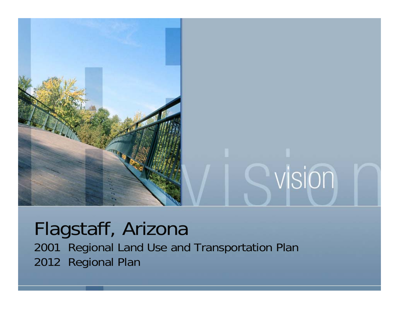

#### Flagstaff, Arizona 2001 Regional Land Use and Transportation Plan 2012 Regional Plan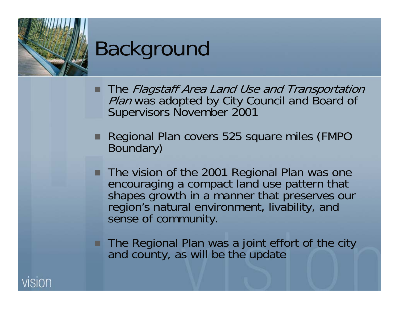

- **The Flagstaff Area Land Use and Transportation** Plan was adopted by City Council and Board of Supervisors November 2001
- Regional Plan covers 525 square miles (FMPO Boundary)
- The vision of the 2001 Regional Plan was one encouraging a compact land use pattern that shapes growth in a manner that preserves our region's natural environment, livability, and sense of community.
- The Regional Plan was a joint effort of the city and county, as will be the update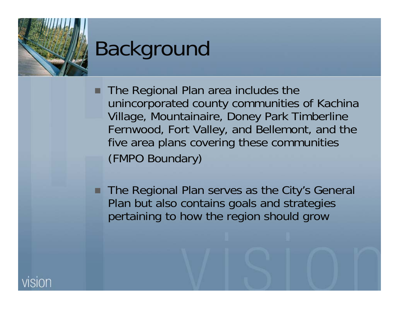## Background

- **The Regional Plan area includes the** unincorporated county communities of Kachina Village, Mountainaire, Doney Park Timberline Fernwood, Fort Valley, and Bellemont, and the five area plans covering these communities (FMPO Boundary)
- **The Regional Plan serves as the City's General** Plan but also contains goals and strategies pertaining to how the region should grow

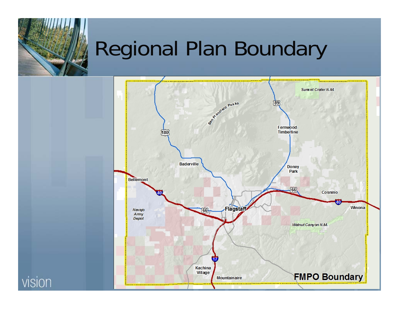# Regional Plan Boundary



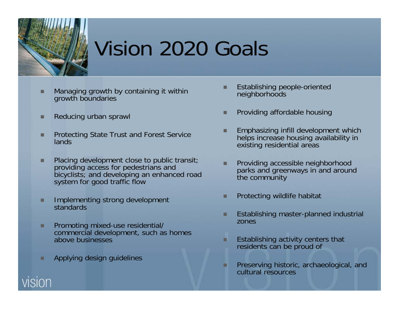# Vision 2020 Goals

- **Managing growth by containing it within** growth boundaries
- п Reducing urban sprawl
- п Protecting State Trust and Forest Service lands
- п Placing development close to public transit; providing access for pedestrians and bicyclists; and developing an enhanced road system for good traffic flow
- Implementing strong development standards
- п **Promoting mixed-use residential/** commercial development, such as homes above businesses
- п Applying design guidelines
- Establishing people-oriented neighborhoods
- Providing affordable housing
- **Emphasizing infill development which** helps increase housing availability in existing residential areas
- Providing accessible neighborhood parks and greenways in and around the community
- п Protecting wildlife habitat
- Establishing master-planned industrial zones
- п Establishing activity centers that residents can be proud of
- Preserving historic, archaeological, and cultural resources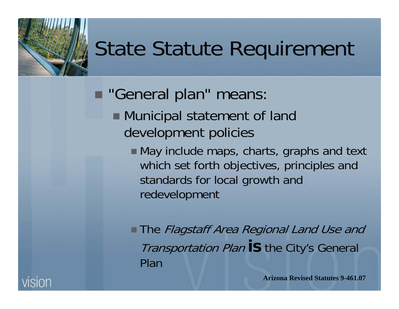# State Statute Requirement

- **The "General plan" means:** 
	- Municipal statement of land development policies
		- May include maps, charts, graphs and text which set forth objectives, principles and standards for local growth and redevelopment

**The Flagstaff Area Regional Land Use and** Transportation Plan **is** the City's General Plan

**Arizona Revised Statutes 9-461.07**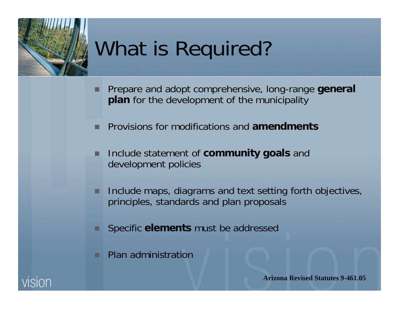# What is Required?

- п Prepare and adopt comprehensive, long-range **general plan** for the development of the municipality
- п Provisions for modifications and **amendments**
- ▉ Include statement of **community goals** and development policies
- п Include maps, diagrams and text setting forth objectives, principles, standards and plan proposals
- Specific **elements** must be addressed
- Plan administration



**Arizona Revised Statutes 9-461.05**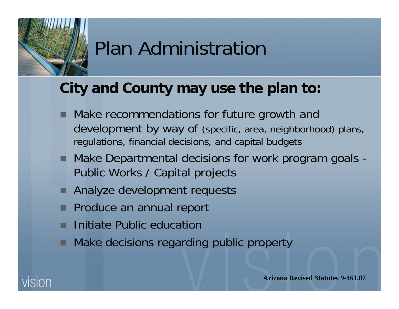### Plan Administration

#### **City and County may use the plan to:**

- Make recommendations for future growth and development by way of (specific, area, neighborhood) plans, regulations, financial decisions, and capital budgets
- Make Departmental decisions for work program goals -Public Works / Capital projects
- Analyze development requests
- Produce an annual report
- Initiate Public education
- Make decisions regarding public property

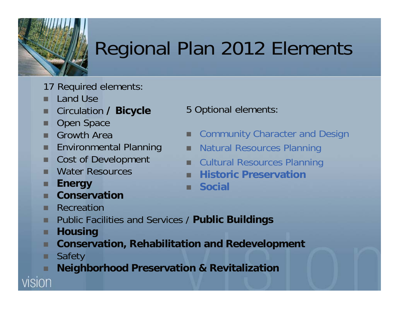# Regional Plan 2012 Elements

- 17 Required elements:
- ш Land Use
- п Circulation **/ Bicycle**
- п Open Space
- . . Growth Area
- п Environmental Planning
- п Cost of Development
- п Water Resources
- п **Energy**
- п **Conservation**
- **Recreation**
- $\blacksquare$ Public Facilities and Services / **Public Buildings**
- п **Housing**
- п **Conservation, Rehabilitation and Redevelopment**
- п Safety

vision

**Neighborhood Preservation & Revitalization**

- 5 Optional elements:
- × Community Character and Design
- п Natural Resources Planning
- п Cultural Resources Planning
- **Historic Preservation**
- **E** Social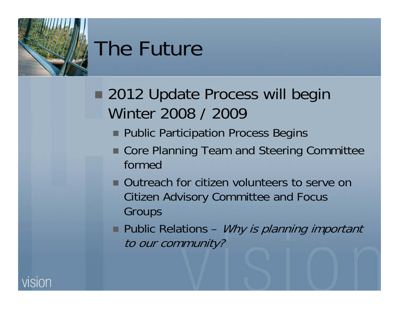

- **2012 Update Process will begin** Winter 2008 / 2009
	- **Public Participation Process Begins**
	- Core Planning Team and Steering Committee formed
	- **Outreach for citizen volunteers to serve on** Citizen Advisory Committee and Focus **Groups**
	- Public Relations *Why is planning important* to our community?

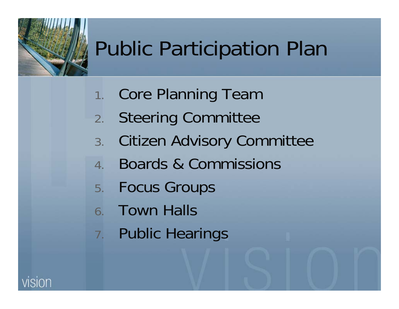# Public Participation Plan

- 1. Core Planning Team
- 2. Steering Committee
- 3. Citizen Advisory Committee
- 4. Boards & Commissions
- 5. Focus Groups
- 6. Town Halls
- 7. Public Hearings

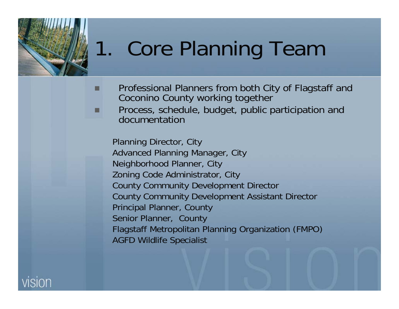# 1. Core Planning Team

- Professional Planners from both City of Flagstaff and Coconino County working together
- Process, schedule, budget, public participation and documentation

Planning Director, City Advanced Planning Manager, City Neighborhood Planner, City Zoning Code Administrator, City County Community Development Director County Community Development Assistant Director Principal Planner, County Senior Planner, County Flagstaff Metropolitan Planning Organization (FMPO) AGFD Wildlife Specialist



■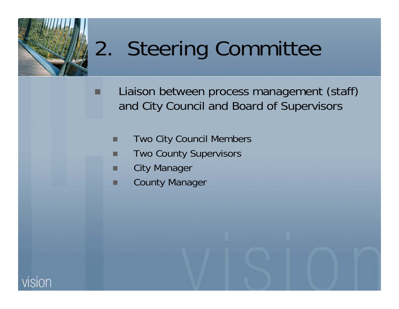

# 2. Steering Committee

 Liaison between process management (staff) and City Council and Board of Supervisors

- ▉ Two City Council Members
- ▉ Two County Supervisors
- City Manager
- County Manager

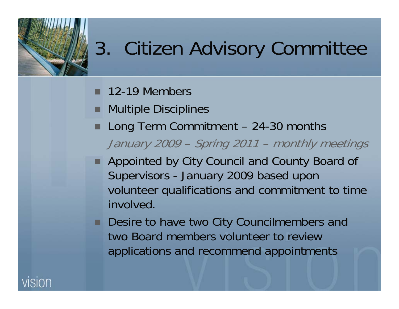- **12-19 Members**
- **Multiple Disciplines**
- Long Term Commitment 24-30 months January 2009 – Spring 2011 – monthly meetings
- Appointed by City Council and County Board of Supervisors - January 2009 based upon volunteer qualifications and commitment to time involved.
- Desire to have two City Councilmembers and two Board members volunteer to review applications and recommend appointments

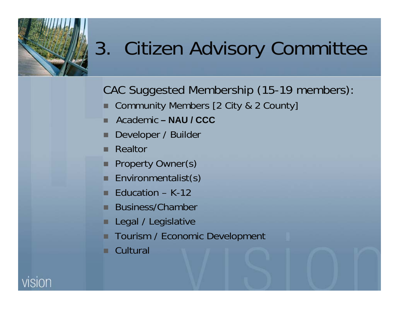CAC Suggested Membership (15-19 members):

- Community Members [2 City & 2 County]
- Academic **– NAU / CCC**
- Developer / Builder
- п Realtor
- . Property Owner(s)
- Environmentalist(s)
- Education K-12
- п. Business/Chamber
- п Legal / Legislative
- Tourism / Economic Development
- **Cultural**

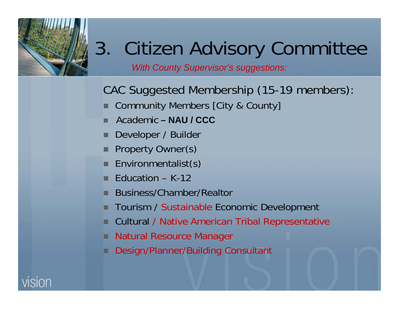*With County Supervisor's suggestions:*

CAC Suggested Membership (15-19 members):

- Community Members [City & County]
- Academic **– NAU / CCC**
- Developer / Builder
- п Property Owner(s)
- п. Environmentalist(s)
- п. Education – K-12
- Business/Chamber/Realtor
- Tourism / Sustainable Economic Development
- Cultural / Native American Tribal Representative
- Natural Resource Manager
- Design/Planner/Building Consultant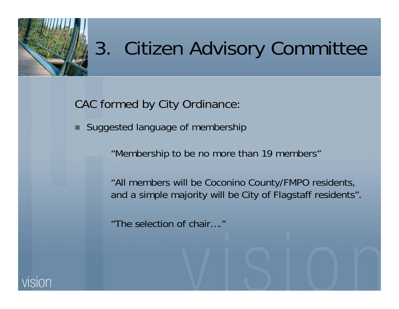

CAC formed by City Ordinance:

Г Suggested language of membership

"Membership to be no more than 19 members"

"All members will be Coconino County/FMPO residents, and a simple majority will be City of Flagstaff residents".

"The selection of chair…."

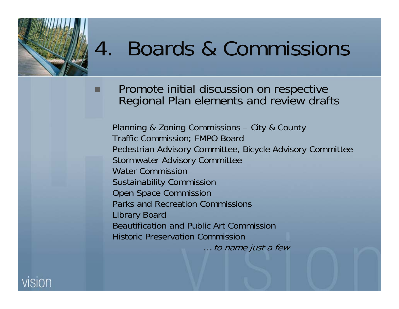# 4. Boards & Commissions

 Promote initial discussion on respective Regional Plan elements and review drafts

Planning & Zoning Commissions – City & County Traffic Commission; FMPO Board Pedestrian Advisory Committee, Bicycle Advisory Committee Stormwater Advisory Committee Water CommissionSustainability Commission Open Space Commission Parks and Recreation Commissions Library Board Beautification and Public Art CommissionHistoric Preservation Commission… to name just a few

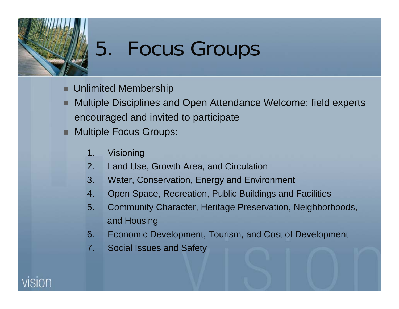# 5. Focus Groups

- **Unlimited Membership**
- п Multiple Disciplines and Open Attendance Welcome; field experts encouraged and invited to participate
- **Nultiple Focus Groups:** 
	- 1. Visioning
	- 2. Land Use, Growth Area, and Circulation
	- 3. Water, Conservation, Energy and Environment
	- 4. Open Space, Recreation, Public Buildings and Facilities
	- 5. Community Character, Heritage Preservation, Neighborhoods, and Housing
	- 6. Economic Development, Tourism, and Cost of Development
	- 7. Social Issues and Safety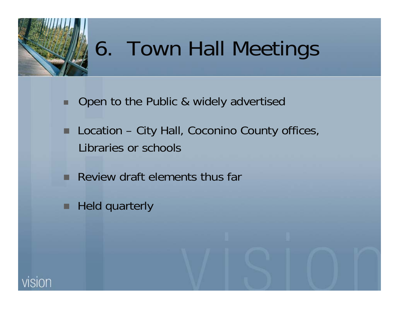

# 6. Town Hall Meetings

- п Open to the Public & widely advertised
- . Location – City Hall, Coconino County offices, Libraries or schools
- **Review draft elements thus far**
- . Held quarterly

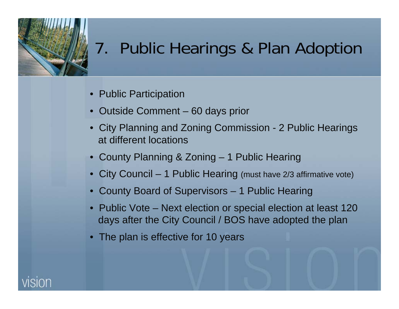### 7. Public Hearings & Plan Adoption

- Public Participation
- Outside Comment 60 days prior
- City Planning and Zoning Commission 2 Public Hearings at different locations
- County Planning & Zoning 1 Public Hearing
- City Council 1 Public Hearing (must have 2/3 affirmative vote)
- County Board of Supervisors 1 Public Hearing
- Public Vote Next election or special election at least 120 days after the City Council / BOS have adopted the plan
- The plan is effective for 10 years

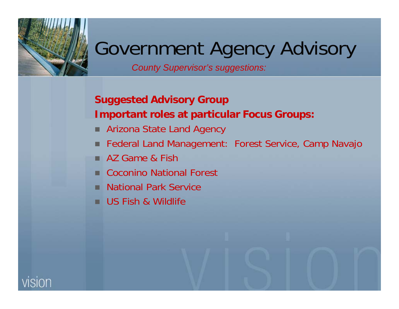### Government Agency Advisory

*County Supervisor's suggestions:*

#### **Suggested Advisory Group Important roles at particular Focus Groups:**

- Arizona State Land Agency
- Federal Land Management: Forest Service, Camp Navajo
- AZ Game & Fish
- Coconino National Forest
- National Park Service
- US Fish & Wildlife

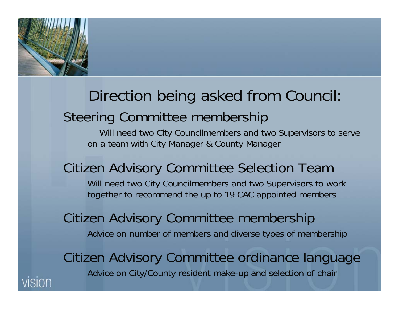

# Direction being asked from Council:

### Steering Committee membership

Will need two City Councilmembers and two Supervisors to serve on a team with City Manager & County Manager

#### Citizen Advisory Committee Selection Team

Will need two City Councilmembers and two Supervisors to work together to recommend the up to 19 CAC appointed members

Citizen Advisory Committee membership Advice on number of members and diverse types of membership

Citizen Advisory Committee ordinance language Advice on City/County resident make-up and selection of chair